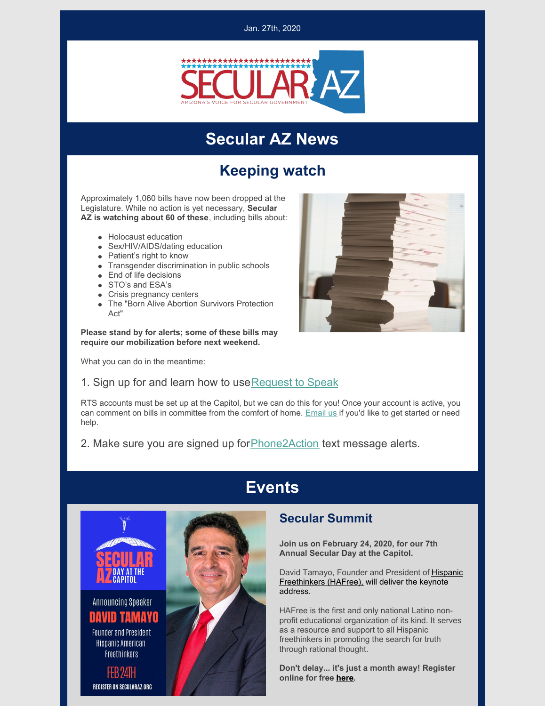

### **Secular AZ News**

### **Keeping watch**

Approximately 1,060 bills have now been dropped at the Legislature. While no action is yet necessary, **Secular AZ is watching about 60 of these**, including bills about:

- Holocaust education
- Sex/HIV/AIDS/dating education
- Patient's right to know
- Transgender discrimination in public schools
- End of life decisions
- STO's and ESA's
- Crisis pregnancy centers
- The "Born Alive Abortion Survivors Protection Act"

**Please stand by for alerts; some of these bills may require our mobilization before next weekend.**

What you can do in the meantime:



#### 1. Sign up for and learn how to use Request to Speak

RTS accounts must be set up at the Capitol, but we can do this for you! Once your account is active, you can comment on bills in committee from the comfort of home. [Email](mailto:tory@secularaz.org) us if you'd like to get started or need help.

2. Make sure you are signed up fo[rPhone2Action](https://p2a.co/UVcotx1) text message alerts.

# **Events**



#### **Secular Summit**

**Join us on February 24, 2020, for our 7th Annual Secular Day at the Capitol.**

David Tamayo, Founder and President of Hispanic [Freethinkers](https://www.hafree.org/) (HAFree)[,](https://www.hafree.org/) will deliver the keynote address.

HAFree is the first and only national Latino nonprofit educational organization of its kind. It serves as a resource and support to all Hispanic freethinkers in promoting the search for truth through rational thought.

**Don't delay... it's just a month away! Register online for free [here](https://secularaz.org/vocabulary_3/events/).**